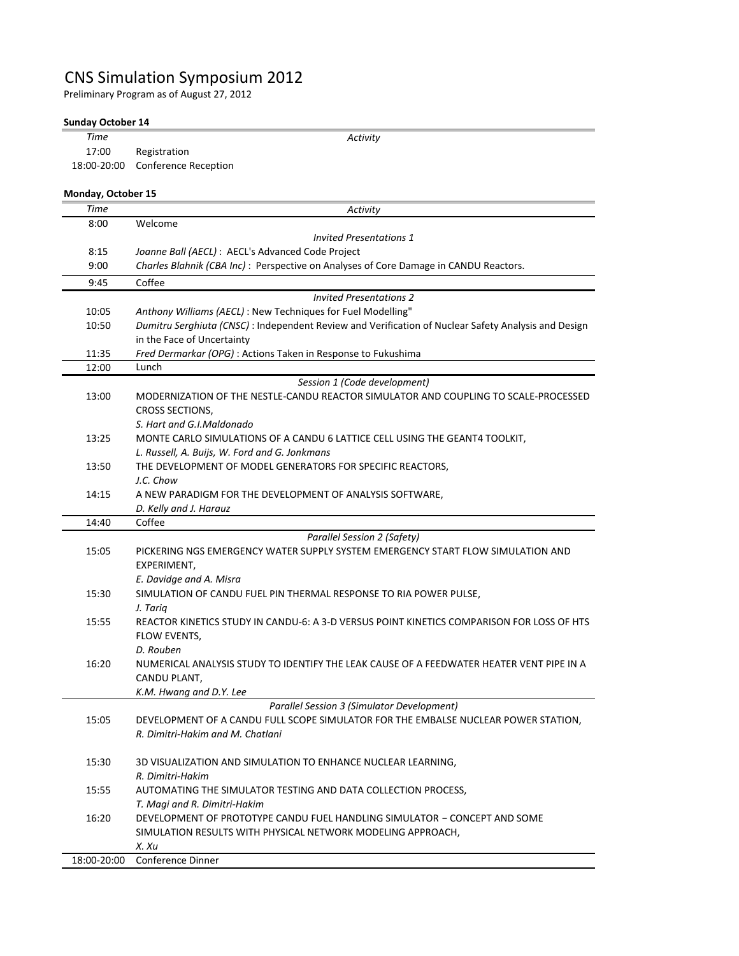## CNS Simulation Symposium 2012

Preliminary Program as of August 27, 2012

## **Sunday October 14**

| <b>Time</b>        | Activity                                                                                                                           |
|--------------------|------------------------------------------------------------------------------------------------------------------------------------|
| 17:00              | Registration                                                                                                                       |
| 18:00-20:00        | <b>Conference Reception</b>                                                                                                        |
| Monday, October 15 |                                                                                                                                    |
| Time               | Activity                                                                                                                           |
| 8:00               | Welcome                                                                                                                            |
|                    | <b>Invited Presentations 1</b>                                                                                                     |
| 8:15               | Joanne Ball (AECL) : AECL's Advanced Code Project                                                                                  |
| 9:00               | Charles Blahnik (CBA Inc): Perspective on Analyses of Core Damage in CANDU Reactors.                                               |
| 9:45               | Coffee                                                                                                                             |
|                    | <b>Invited Presentations 2</b>                                                                                                     |
| 10:05              | Anthony Williams (AECL) : New Techniques for Fuel Modelling"                                                                       |
| 10:50              | Dumitru Serghiuta (CNSC) : Independent Review and Verification of Nuclear Safety Analysis and Design<br>in the Face of Uncertainty |
| 11:35              | Fred Dermarkar (OPG) : Actions Taken in Response to Fukushima                                                                      |
| 12:00              | Lunch                                                                                                                              |
|                    | Session 1 (Code development)                                                                                                       |
| 13:00              | MODERNIZATION OF THE NESTLE-CANDU REACTOR SIMULATOR AND COUPLING TO SCALE-PROCESSED                                                |
|                    | <b>CROSS SECTIONS,</b>                                                                                                             |
|                    | S. Hart and G.I.Maldonado                                                                                                          |
| 13:25              | MONTE CARLO SIMULATIONS OF A CANDU 6 LATTICE CELL USING THE GEANT4 TOOLKIT,                                                        |
|                    | L. Russell, A. Buijs, W. Ford and G. Jonkmans                                                                                      |
| 13:50              | THE DEVELOPMENT OF MODEL GENERATORS FOR SPECIFIC REACTORS,                                                                         |
|                    | J.C. Chow                                                                                                                          |
| 14:15              | A NEW PARADIGM FOR THE DEVELOPMENT OF ANALYSIS SOFTWARE,                                                                           |
|                    | D. Kelly and J. Harauz<br>Coffee                                                                                                   |
| 14:40              |                                                                                                                                    |
| 15:05              | Parallel Session 2 (Safety)<br>PICKERING NGS EMERGENCY WATER SUPPLY SYSTEM EMERGENCY START FLOW SIMULATION AND                     |
|                    | EXPERIMENT,                                                                                                                        |
|                    | E. Davidge and A. Misra                                                                                                            |
| 15:30              | SIMULATION OF CANDU FUEL PIN THERMAL RESPONSE TO RIA POWER PULSE,                                                                  |
|                    | J. Tariq                                                                                                                           |
| 15:55              | REACTOR KINETICS STUDY IN CANDU-6: A 3-D VERSUS POINT KINETICS COMPARISON FOR LOSS OF HTS                                          |
|                    | FLOW EVENTS,                                                                                                                       |
|                    | D. Rouben                                                                                                                          |
| 16:20              | NUMERICAL ANALYSIS STUDY TO IDENTIFY THE LEAK CAUSE OF A FEEDWATER HEATER VENT PIPE IN A                                           |
|                    | CANDU PLANT,                                                                                                                       |
|                    | K.M. Hwang and D.Y. Lee                                                                                                            |
|                    | Parallel Session 3 (Simulator Development)                                                                                         |
| 15:05              | DEVELOPMENT OF A CANDU FULL SCOPE SIMULATOR FOR THE EMBALSE NUCLEAR POWER STATION,                                                 |
|                    | R. Dimitri-Hakim and M. Chatlani                                                                                                   |
|                    |                                                                                                                                    |
| 15:30              | 3D VISUALIZATION AND SIMULATION TO ENHANCE NUCLEAR LEARNING,                                                                       |
| 15:55              | R. Dimitri-Hakim                                                                                                                   |
|                    | AUTOMATING THE SIMULATOR TESTING AND DATA COLLECTION PROCESS,                                                                      |
|                    | T. Magi and R. Dimitri-Hakim                                                                                                       |
| 16:20              | DEVELOPMENT OF PROTOTYPE CANDU FUEL HANDLING SIMULATOR - CONCEPT AND SOME                                                          |
|                    | SIMULATION RESULTS WITH PHYSICAL NETWORK MODELING APPROACH,<br>X. Xu                                                               |
| 18:00-20:00        | Conference Dinner                                                                                                                  |
|                    |                                                                                                                                    |